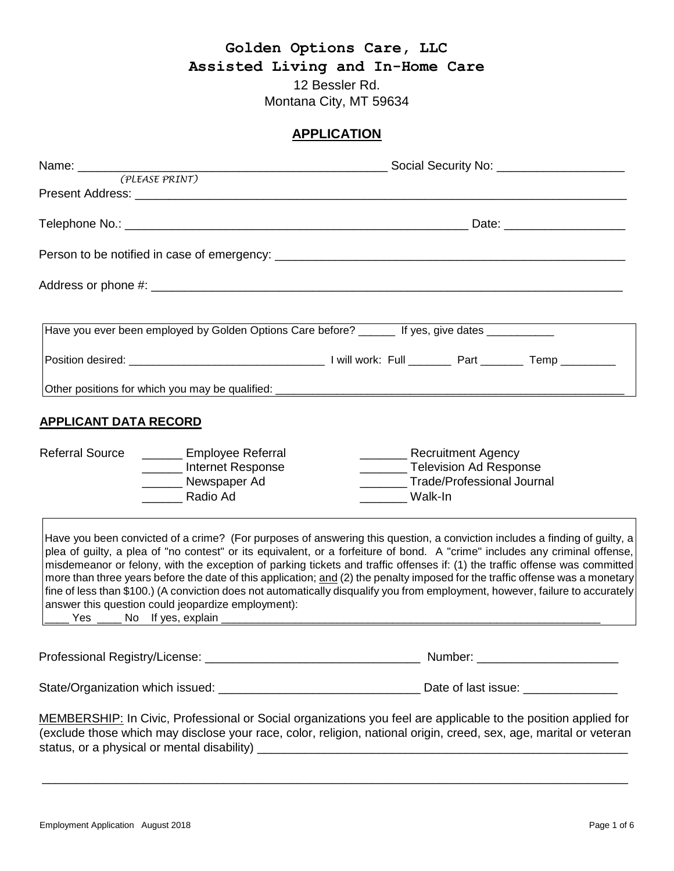## **Golden Options Care, LLC Assisted Living and In-Home Care** 12 Bessler Rd. Montana City, MT 59634

### **APPLICATION**

|                                                                                                                      | Have you ever been employed by Golden Options Care before? ______ If yes, give dates __________                                                                                                                                                                                                                                                                                                                                                                                                                                                                                                                                                            |
|----------------------------------------------------------------------------------------------------------------------|------------------------------------------------------------------------------------------------------------------------------------------------------------------------------------------------------------------------------------------------------------------------------------------------------------------------------------------------------------------------------------------------------------------------------------------------------------------------------------------------------------------------------------------------------------------------------------------------------------------------------------------------------------|
|                                                                                                                      |                                                                                                                                                                                                                                                                                                                                                                                                                                                                                                                                                                                                                                                            |
|                                                                                                                      |                                                                                                                                                                                                                                                                                                                                                                                                                                                                                                                                                                                                                                                            |
| <b>APPLICANT DATA RECORD</b>                                                                                         |                                                                                                                                                                                                                                                                                                                                                                                                                                                                                                                                                                                                                                                            |
| <b>Referral Source</b><br><b>Employee Referral</b><br>________ Internet Response<br>_______ Newspaper Ad<br>Radio Ad | __________ Television Ad Response<br>________Trade/Professional Journal<br>Walk-In                                                                                                                                                                                                                                                                                                                                                                                                                                                                                                                                                                         |
| answer this question could jeopardize employment):                                                                   | Have you been convicted of a crime? (For purposes of answering this question, a conviction includes a finding of guilty, a<br>plea of guilty, a plea of "no contest" or its equivalent, or a forfeiture of bond. A "crime" includes any criminal offense,<br>misdemeanor or felony, with the exception of parking tickets and traffic offenses if: (1) the traffic offense was committed<br>more than three years before the date of this application; and (2) the penalty imposed for the traffic offense was a monetary<br>fine of less than \$100.) (A conviction does not automatically disqualify you from employment, however, failure to accurately |
|                                                                                                                      |                                                                                                                                                                                                                                                                                                                                                                                                                                                                                                                                                                                                                                                            |
|                                                                                                                      |                                                                                                                                                                                                                                                                                                                                                                                                                                                                                                                                                                                                                                                            |
|                                                                                                                      | MEMBERSHIP: In Civic, Professional or Social organizations you feel are applicable to the position applied for<br>(exclude those which may disclose your race, color, religion, national origin, creed, sex, age, marital or veteran                                                                                                                                                                                                                                                                                                                                                                                                                       |

\_\_\_\_\_\_\_\_\_\_\_\_\_\_\_\_\_\_\_\_\_\_\_\_\_\_\_\_\_\_\_\_\_\_\_\_\_\_\_\_\_\_\_\_\_\_\_\_\_\_\_\_\_\_\_\_\_\_\_\_\_\_\_\_\_\_\_\_\_\_\_\_\_\_\_\_\_\_\_\_\_\_\_\_\_\_\_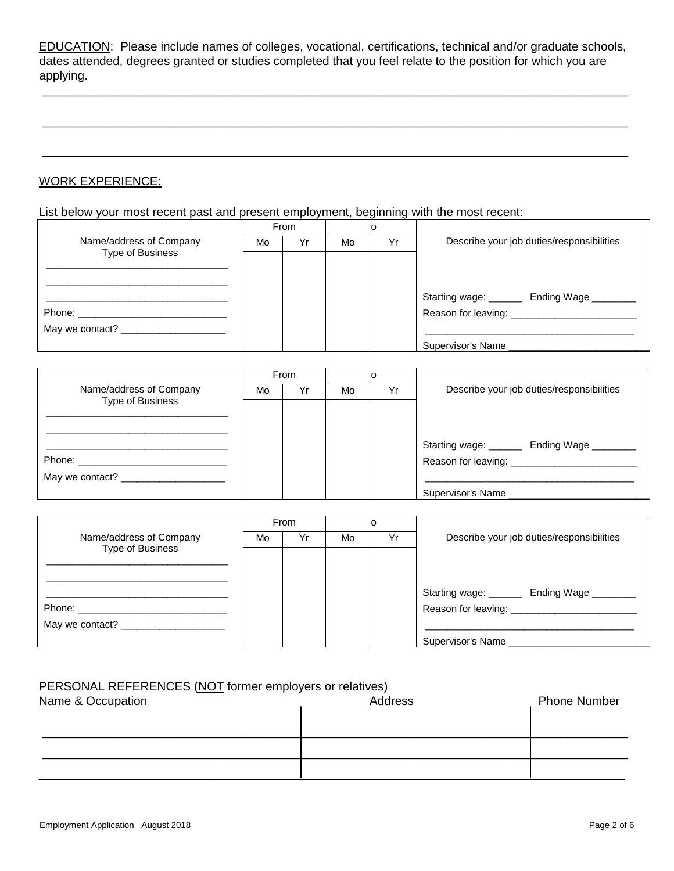EDUCATION: Please include names of colleges, vocational, certifications, technical and/or graduate schools, dates attended, degrees granted or studies completed that you feel relate to the position for which you are applying.

\_\_\_\_\_\_\_\_\_\_\_\_\_\_\_\_\_\_\_\_\_\_\_\_\_\_\_\_\_\_\_\_\_\_\_\_\_\_\_\_\_\_\_\_\_\_\_\_\_\_\_\_\_\_\_\_\_\_\_\_\_\_\_\_\_\_\_\_\_\_\_\_\_\_\_\_\_\_\_\_\_\_\_\_\_\_\_

\_\_\_\_\_\_\_\_\_\_\_\_\_\_\_\_\_\_\_\_\_\_\_\_\_\_\_\_\_\_\_\_\_\_\_\_\_\_\_\_\_\_\_\_\_\_\_\_\_\_\_\_\_\_\_\_\_\_\_\_\_\_\_\_\_\_\_\_\_\_\_\_\_\_\_\_\_\_\_\_\_\_\_\_\_\_\_

\_\_\_\_\_\_\_\_\_\_\_\_\_\_\_\_\_\_\_\_\_\_\_\_\_\_\_\_\_\_\_\_\_\_\_\_\_\_\_\_\_\_\_\_\_\_\_\_\_\_\_\_\_\_\_\_\_\_\_\_\_\_\_\_\_\_\_\_\_\_\_\_\_\_\_\_\_\_\_\_\_\_\_\_\_\_\_

### WORK EXPERIENCE:

List below your most recent past and present employment, beginning with the most recent:

|                                    | From |    |    |    |                                             |  |
|------------------------------------|------|----|----|----|---------------------------------------------|--|
| Name/address of Company            | Mo   | Yr | Mo | Yr | Describe your job duties/responsibilities   |  |
| Type of Business                   |      |    |    |    |                                             |  |
|                                    |      |    |    |    |                                             |  |
|                                    |      |    |    |    |                                             |  |
|                                    |      |    |    |    | Starting wage: _______ Ending Wage ________ |  |
| Phone: ___________________________ |      |    |    |    | Reason for leaving: ____________________    |  |
|                                    |      |    |    |    |                                             |  |
|                                    |      |    |    |    | Supervisor's Name                           |  |

|                                   | From |    |    |    |                                                                                                                                                                                                                                |  |
|-----------------------------------|------|----|----|----|--------------------------------------------------------------------------------------------------------------------------------------------------------------------------------------------------------------------------------|--|
| Name/address of Company           | Mo   | Yr | Mo | Yr | Describe your job duties/responsibilities                                                                                                                                                                                      |  |
| Type of Business                  |      |    |    |    |                                                                                                                                                                                                                                |  |
|                                   |      |    |    |    |                                                                                                                                                                                                                                |  |
|                                   |      |    |    |    | Starting wage: _______ Ending Wage ________                                                                                                                                                                                    |  |
| Phone: __________________________ |      |    |    |    | Reason for leaving: Network and the set of the set of the set of the set of the set of the set of the set of the set of the set of the set of the set of the set of the set of the set of the set of the set of the set of the |  |
|                                   |      |    |    |    |                                                                                                                                                                                                                                |  |
|                                   |      |    |    |    | Supervisor's Name                                                                                                                                                                                                              |  |

|                         |    | From |    |    |                                            |  |
|-------------------------|----|------|----|----|--------------------------------------------|--|
| Name/address of Company | Mo | Yr   | Mo | Yr | Describe your job duties/responsibilities  |  |
| <b>Type of Business</b> |    |      |    |    |                                            |  |
|                         |    |      |    |    |                                            |  |
|                         |    |      |    |    |                                            |  |
|                         |    |      |    |    | Starting wage: _______ Ending Wage _______ |  |
|                         |    |      |    |    |                                            |  |
|                         |    |      |    |    |                                            |  |
|                         |    |      |    |    | Supervisor's Name                          |  |

### PERSONAL REFERENCES (NOT former employers or relatives)

| Name & Occupation | Address | <b>Phone Number</b> |
|-------------------|---------|---------------------|
|                   |         |                     |
|                   |         |                     |
|                   |         |                     |
|                   |         |                     |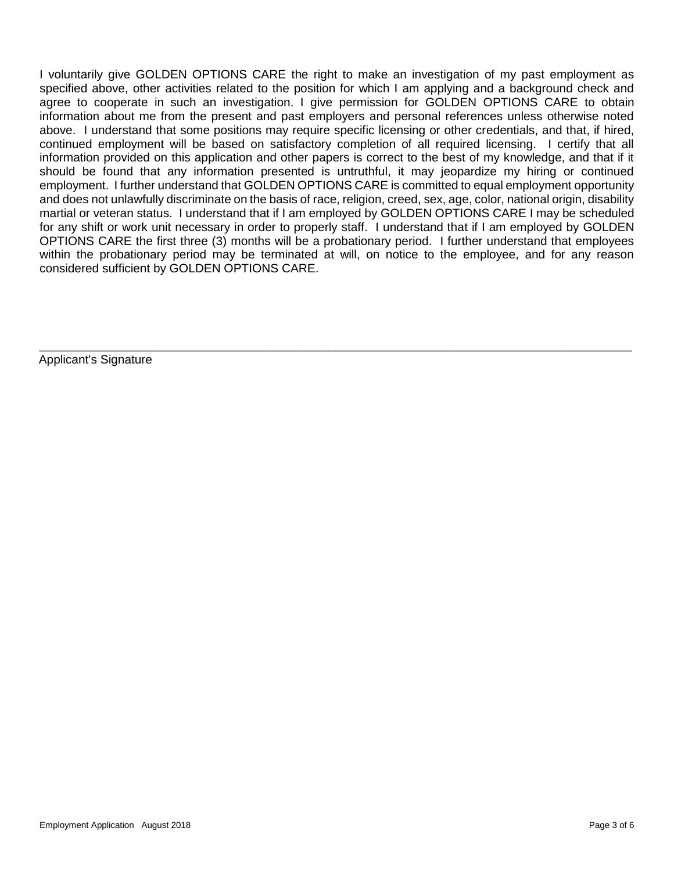I voluntarily give GOLDEN OPTIONS CARE the right to make an investigation of my past employment as specified above, other activities related to the position for which I am applying and a background check and agree to cooperate in such an investigation. I give permission for GOLDEN OPTIONS CARE to obtain information about me from the present and past employers and personal references unless otherwise noted above. I understand that some positions may require specific licensing or other credentials, and that, if hired, continued employment will be based on satisfactory completion of all required licensing. I certify that all information provided on this application and other papers is correct to the best of my knowledge, and that if it should be found that any information presented is untruthful, it may jeopardize my hiring or continued employment. I further understand that GOLDEN OPTIONS CARE is committed to equal employment opportunity and does not unlawfully discriminate on the basis of race, religion, creed, sex, age, color, national origin, disability martial or veteran status. I understand that if I am employed by GOLDEN OPTIONS CARE I may be scheduled for any shift or work unit necessary in order to properly staff. I understand that if I am employed by GOLDEN OPTIONS CARE the first three (3) months will be a probationary period. I further understand that employees within the probationary period may be terminated at will, on notice to the employee, and for any reason considered sufficient by GOLDEN OPTIONS CARE.

\_\_\_\_\_\_\_\_\_\_\_\_\_\_\_\_\_\_\_\_\_\_\_\_\_\_\_\_\_\_\_\_\_\_\_\_\_\_\_\_\_\_\_\_\_\_\_\_\_\_\_\_\_\_\_\_\_\_\_\_\_\_\_\_\_\_\_\_\_\_\_\_\_\_\_\_\_\_\_\_\_\_\_\_\_\_\_\_

Applicant's Signature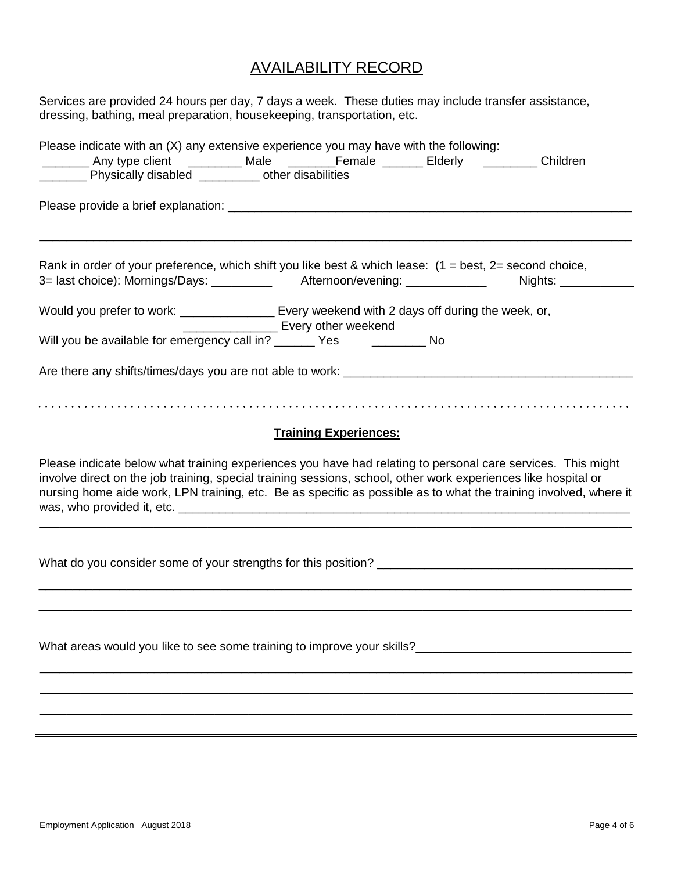# AVAILABILITY RECORD

| Services are provided 24 hours per day, 7 days a week. These duties may include transfer assistance,<br>dressing, bathing, meal preparation, housekeeping, transportation, etc.                                                                                                                                                                   |
|---------------------------------------------------------------------------------------------------------------------------------------------------------------------------------------------------------------------------------------------------------------------------------------------------------------------------------------------------|
| Please indicate with an $(X)$ any extensive experience you may have with the following:<br>_________ Any type client ___________ Male ________Female _______ Elderly _________ Children<br>________ Physically disabled __________ other disabilities                                                                                             |
|                                                                                                                                                                                                                                                                                                                                                   |
| Rank in order of your preference, which shift you like best & which lease: $(1 = best, 2 = second choice,$<br>3= last choice): Mornings/Days: __________ Afternoon/evening: ____________ Nights: __________                                                                                                                                       |
| Would you prefer to work: _______________ Every weekend with 2 days off during the week, or,<br>Every other weekend                                                                                                                                                                                                                               |
| Will you be available for emergency call in? ______ Yes _________ No                                                                                                                                                                                                                                                                              |
|                                                                                                                                                                                                                                                                                                                                                   |
| <b>Training Experiences:</b>                                                                                                                                                                                                                                                                                                                      |
| Please indicate below what training experiences you have had relating to personal care services. This might<br>involve direct on the job training, special training sessions, school, other work experiences like hospital or<br>nursing home aide work, LPN training, etc. Be as specific as possible as to what the training involved, where it |
|                                                                                                                                                                                                                                                                                                                                                   |
|                                                                                                                                                                                                                                                                                                                                                   |
|                                                                                                                                                                                                                                                                                                                                                   |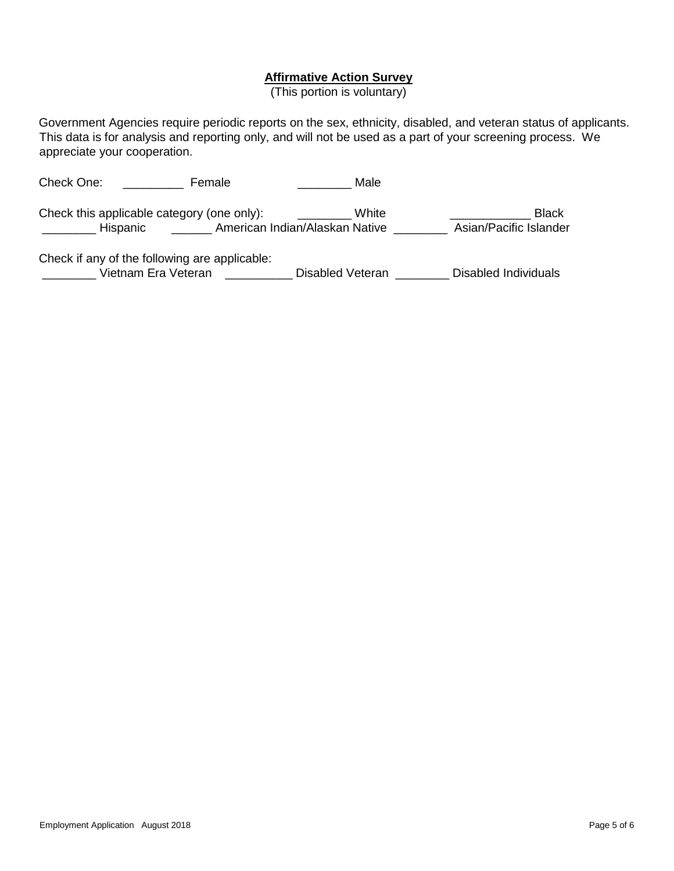#### **Affirmative Action Survey**

(This portion is voluntary)

Government Agencies require periodic reports on the sex, ethnicity, disabled, and veteran status of applicants. This data is for analysis and reporting only, and will not be used as a part of your screening process. We appreciate your cooperation.

| Check One: |                                                        | Female |                                | Male  |                                        |
|------------|--------------------------------------------------------|--------|--------------------------------|-------|----------------------------------------|
|            | Check this applicable category (one only):<br>Hispanic |        | American Indian/Alaskan Native | White | <b>Black</b><br>Asian/Pacific Islander |

Check if any of the following are applicable:

\_\_\_\_\_\_\_\_ Vietnam Era Veteran \_\_\_\_\_\_\_\_\_\_ Disabled Veteran \_\_\_\_\_\_\_\_ Disabled Individuals